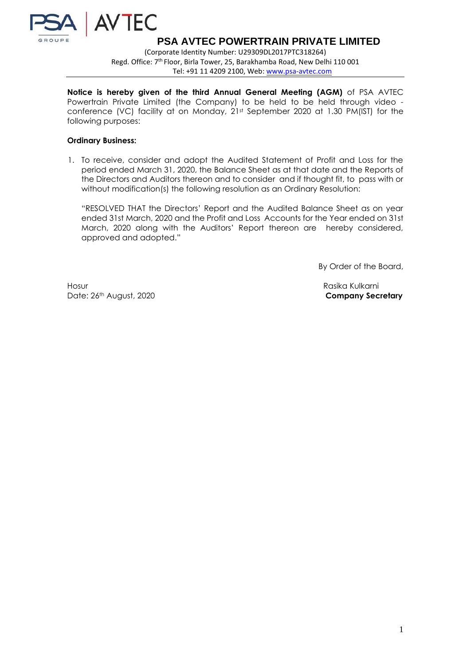

**PSA AVTEC POWERTRAIN PRIVATE LIMITED**

(Corporate Identity Number: U29309DL2017PTC318264) Regd. Office: 7<sup>th</sup> Floor, Birla Tower, 25, Barakhamba Road, New Delhi 110 001 Tel: +91 11 4209 2100, Web: [www.psa-avtec.com](http://www.psa-avtec.com/)

**Notice is hereby given of the third Annual General Meeting (AGM)** of PSA AVTEC Powertrain Private Limited (the Company) to be held to be held through video conference (VC) facility at on Monday, 21st September 2020 at 1.30 PM(IST) for the following purposes:

## **Ordinary Business:**

1. To receive, consider and adopt the Audited Statement of Profit and Loss for the period ended March 31, 2020, the Balance Sheet as at that date and the Reports of the Directors and Auditors thereon and to consider and if thought fit, to pass with or without modification(s) the following resolution as an Ordinary Resolution:

"RESOLVED THAT the Directors' Report and the Audited Balance Sheet as on year ended 31st March, 2020 and the Profit and Loss Accounts for the Year ended on 31st March, 2020 along with the Auditors' Report thereon are hereby considered, approved and adopted."

By Order of the Board,

Hosur Rasika Kulkarni Date: 26th August, 2020 **Company Secretary**